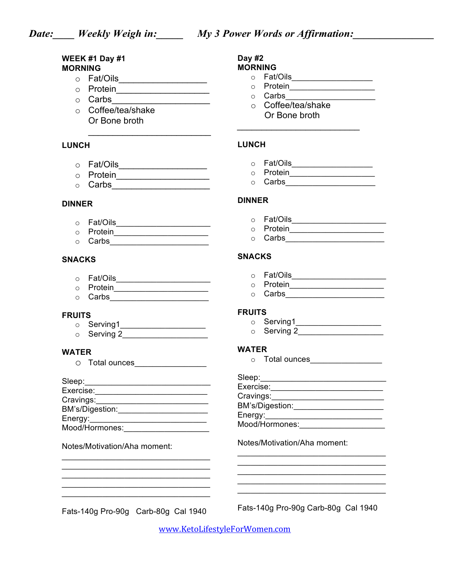### **WEEK #1 Day #1 MORNING**

- o Fat/Oils\_\_\_\_\_\_\_\_\_\_\_\_\_\_\_\_\_\_
- o Protein\_\_\_\_\_\_\_\_\_\_\_\_\_\_\_\_\_\_\_
- o Carbs\_\_\_\_\_\_\_\_\_\_\_\_\_\_\_\_\_\_\_\_
- o Coffee/tea/shake Or Bone broth

# **LUNCH**

- o Fat/Oils\_\_\_\_\_\_\_\_\_\_\_\_\_\_\_\_\_\_
- o Protein\_\_\_\_\_\_\_\_\_\_\_\_\_\_\_\_\_\_\_

 $\mathcal{L}_\text{max}$  , where  $\mathcal{L}_\text{max}$  is the set of  $\mathcal{L}_\text{max}$ 

o Carbs\_\_\_\_\_\_\_\_\_\_\_\_\_\_\_\_\_\_\_\_

### **DINNER**

- o Fat/Oils\_\_\_\_\_\_\_\_\_\_\_\_\_\_\_\_\_\_\_\_\_
- o Protein\_\_\_\_\_\_\_\_\_\_\_\_\_\_\_\_\_\_\_\_\_
- o Carbs\_\_\_\_\_\_\_\_\_\_\_\_\_\_\_\_\_\_\_\_\_\_

### **SNACKS**

- o Fat/Oils\_\_\_\_\_\_\_\_\_\_\_\_\_\_\_\_\_\_\_\_\_
- $\circ$  Protein  $\circ$
- o Carbs\_\_\_\_\_\_\_\_\_\_\_\_\_\_\_\_\_\_\_\_\_\_

### **FRUITS**

**b...**<br>
o Serving1\_\_\_\_\_\_\_\_\_\_\_\_\_\_\_\_\_\_\_\_\_  $\circ$  Serving 2

### **WATER**

o Total ounces\_\_\_\_\_\_\_\_\_\_\_\_\_\_\_\_

| Sleep:          |  |
|-----------------|--|
| Exercise:       |  |
| Cravings:       |  |
| BM's/Digestion: |  |
| Energy:         |  |
| Mood/Hormones:  |  |

 $\overline{\mathcal{L}}$  , and the set of the set of the set of the set of the set of the set of the set of the set of the set of the set of the set of the set of the set of the set of the set of the set of the set of the set of the s

 $\mathcal{L}_\text{max} = \frac{1}{2} \sum_{i=1}^{n} \frac{1}{2} \sum_{i=1}^{n} \frac{1}{2} \sum_{i=1}^{n} \frac{1}{2} \sum_{i=1}^{n} \frac{1}{2} \sum_{i=1}^{n} \frac{1}{2} \sum_{i=1}^{n} \frac{1}{2} \sum_{i=1}^{n} \frac{1}{2} \sum_{i=1}^{n} \frac{1}{2} \sum_{i=1}^{n} \frac{1}{2} \sum_{i=1}^{n} \frac{1}{2} \sum_{i=1}^{n} \frac{1}{2} \sum_{i=1}^{n} \frac{1$  $\overline{\mathcal{L}}$  , and the set of the set of the set of the set of the set of the set of the set of the set of the set of the set of the set of the set of the set of the set of the set of the set of the set of the set of the s  $\_$ 

### Notes/Motivation/Aha moment:

#### **Day #2 MORNING**

- o Fat/Oils\_\_\_\_\_\_\_\_\_\_\_\_\_\_\_\_\_\_
- o Protein\_\_\_\_\_\_\_\_\_\_\_\_\_\_\_\_\_\_\_
	- $\circ$  Carbs  $\qquad \qquad \qquad \qquad \qquad \qquad \qquad$
	- o Coffee/tea/shake Or Bone broth

*\_\_\_\_\_\_\_\_\_\_\_\_\_\_\_\_\_\_\_\_\_\_\_\_\_*

# **LUNCH**

- o Fat/Oils\_\_\_\_\_\_\_\_\_\_\_\_\_\_\_\_\_\_
- o Protein\_\_\_\_\_\_\_\_\_\_\_\_\_\_\_\_\_\_\_\_\_\_
- $\circ$  Carbs

### **DINNER**

- o Fat/Oils\_\_\_\_\_\_\_\_\_\_\_\_\_\_\_\_\_\_\_\_\_
- $\circ$  Protein  $\circ$
- $\circ$  Carbs

## **SNACKS**

- $\circ$  Fat/Oils
- o Protein\_\_\_\_\_\_\_\_\_\_\_\_\_\_\_\_\_\_\_\_\_\_\_\_
- o Carbs\_\_\_\_\_\_\_\_\_\_\_\_\_\_\_\_\_\_\_\_\_\_

### **FRUITS**

- o Serving1\_\_\_\_\_\_\_\_\_\_\_\_\_\_\_\_\_\_\_
- $\circ$  Serving 2

### **WATER**

 $\circ$  Total ounces

Sleep:

| Exercise:       |  |
|-----------------|--|
| Cravings:       |  |
| BM's/Digestion: |  |
| Energy:         |  |
| Mood/Hormones:  |  |
|                 |  |

 $\mathcal{L}_\mathcal{L}$  , which is a set of the set of the set of the set of the set of the set of the set of the set of the set of the set of the set of the set of the set of the set of the set of the set of the set of the set of  $\mathcal{L}_\mathcal{L}$  , which is a set of the set of the set of the set of the set of the set of the set of the set of the set of the set of the set of the set of the set of the set of the set of the set of the set of the set of

 $\mathcal{L}_\mathcal{L}$  , which is a set of the set of the set of the set of the set of the set of the set of the set of the set of the set of the set of the set of the set of the set of the set of the set of the set of the set of  $\overline{\phantom{a}}$  ,  $\overline{\phantom{a}}$  ,  $\overline{\phantom{a}}$  ,  $\overline{\phantom{a}}$  ,  $\overline{\phantom{a}}$  ,  $\overline{\phantom{a}}$  ,  $\overline{\phantom{a}}$  ,  $\overline{\phantom{a}}$  ,  $\overline{\phantom{a}}$  ,  $\overline{\phantom{a}}$  ,  $\overline{\phantom{a}}$  ,  $\overline{\phantom{a}}$  ,  $\overline{\phantom{a}}$  ,  $\overline{\phantom{a}}$  ,  $\overline{\phantom{a}}$  ,  $\overline{\phantom{a}}$ 

### Notes/Motivation/Aha moment:

Fats-140g Pro-90g Carb-80g Cal 1940

Fats-140g Pro-90g Carb-80g Cal 1940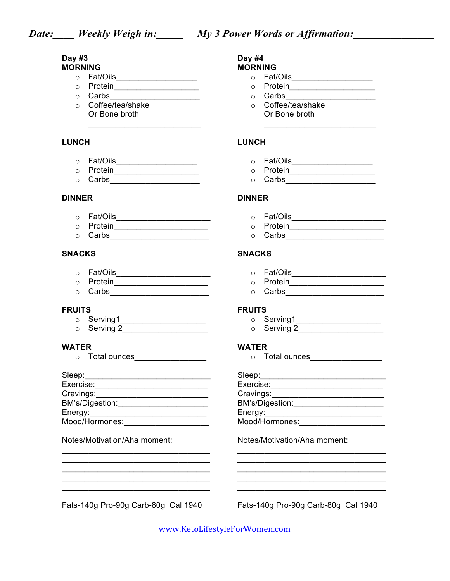### **Day #3 MORNING**

- o Fat/Oils\_\_\_\_\_\_\_\_\_\_\_\_\_\_\_\_\_\_
- o Protein\_\_\_\_\_\_\_\_\_\_\_\_\_\_\_\_\_\_\_
- o Carbs\_\_\_\_\_\_\_\_\_\_\_\_\_\_\_\_\_\_\_\_
- o Coffee/tea/shake Or Bone broth

# **LUNCH**

- o **Fat/Oils**\_\_\_\_\_\_\_\_\_\_\_\_\_\_\_\_\_\_\_\_
- $\circ$  Protein<br> $\overline{\qquad \qquad }$

 $\overline{\mathcal{L}}$  , and the set of the set of the set of the set of the set of the set of the set of the set of the set of the set of the set of the set of the set of the set of the set of the set of the set of the set of the s

o Carbs\_\_\_\_\_\_\_\_\_\_\_\_\_\_\_\_\_\_\_\_

## **DINNER**

- o Fat/Oils\_\_\_\_\_\_\_\_\_\_\_\_\_\_\_\_\_\_\_\_\_
- o Protein\_\_\_\_\_\_\_\_\_\_\_\_\_\_\_\_\_\_\_\_\_
- o Carbs\_\_\_\_\_\_\_\_\_\_\_\_\_\_\_\_\_\_\_\_\_\_

# **SNACKS**

- o Fat/Oils\_\_\_\_\_\_\_\_\_\_\_\_\_\_\_\_\_\_\_\_\_
- o Protein\_\_\_\_\_\_\_\_\_\_\_\_\_\_\_\_\_\_\_\_\_
- $\circ$  Carbs

### **FRUITS**

- o Serving1\_\_\_\_\_\_\_\_\_\_\_\_\_\_\_\_\_\_\_
- o Serving 2\_\_\_\_\_\_\_\_\_\_\_\_\_\_\_\_\_\_\_

# **WATER**

o Total ounces\_\_\_\_\_\_\_\_\_\_\_\_\_\_\_\_\_\_

| Sleep:          |  |
|-----------------|--|
| Exercise:       |  |
| Cravings:       |  |
| BM's/Digestion: |  |
| Energy:         |  |
| Mood/Hormones:  |  |

 $\overline{\mathcal{L}}$  , and the set of the set of the set of the set of the set of the set of the set of the set of the set of the set of the set of the set of the set of the set of the set of the set of the set of the set of the s  $\_$  $\overline{\mathcal{L}}$  , and the set of the set of the set of the set of the set of the set of the set of the set of the set of the set of the set of the set of the set of the set of the set of the set of the set of the set of the s  $\mathcal{L}_\text{max}$  and  $\mathcal{L}_\text{max}$  and  $\mathcal{L}_\text{max}$  and  $\mathcal{L}_\text{max}$ 

## Notes/Motivation/Aha moment:

Fats-140g Pro-90g Carb-80g Cal 1940

Fats-140g Pro-90g Carb-80g Cal 1940

www.KetoLifestyleForWomen.com

#### **Day #4 MORNING**

- $\circ$  Fat/Oils
- o Protein\_\_\_\_\_\_\_\_\_\_\_\_\_\_\_\_\_\_\_\_\_\_\_

 $\mathcal{L}_\text{max}$  , which is a set of the set of the set of the set of the set of the set of the set of the set of the set of the set of the set of the set of the set of the set of the set of the set of the set of the set of

- o Carbs\_\_\_\_\_\_\_\_\_\_\_\_\_\_\_\_\_\_\_\_
- o Coffee/tea/shake Or Bone broth

# **LUNCH**

- o **Fat/Oils\_\_\_\_\_\_\_\_\_\_\_\_\_\_\_\_\_**\_
- $\circ$  Protein  $\overline{\phantom{a}}$ 
	- o Carbs\_\_\_\_\_\_\_\_\_\_\_\_\_\_\_\_\_\_\_\_

## **DINNER**

- o **Fat/Oils\_\_\_\_\_\_\_\_\_\_\_\_\_\_\_\_\_\_\_\_**\_\_\_\_
	- o Protein\_\_\_\_\_\_\_\_\_\_\_\_\_\_\_\_\_\_\_\_\_
	- o **Carbs\_\_\_\_\_\_\_\_\_\_\_\_\_\_\_\_\_\_\_\_\_\_**

# **SNACKS**

- o Fat/Oils\_\_\_\_\_\_\_\_\_\_\_\_\_\_\_\_\_\_\_\_\_
- o Protein\_\_\_\_\_\_\_\_\_\_\_\_\_\_\_\_\_\_\_\_\_
- o Carbs\_\_\_\_\_\_\_\_\_\_\_\_\_\_\_\_\_\_\_\_\_\_

### **FRUITS**

- o Serving1\_\_\_\_\_\_\_\_\_\_\_\_\_\_\_\_\_\_\_\_\_\_\_\_\_
	- o Serving 2\_\_\_\_\_\_\_\_\_\_\_\_\_\_\_\_\_\_\_

## **WATER**

o Total ounces\_\_\_\_\_\_\_\_\_\_\_\_\_\_\_\_\_\_

| Sleep:          |
|-----------------|
| Exercise:       |
| Cravings:       |
| BM's/Digestion: |
| Energy:         |
| Mood/Hormones:  |

 $\mathcal{L}_\mathcal{L}$  , which is a set of the set of the set of the set of the set of the set of the set of the set of the set of the set of the set of the set of the set of the set of the set of the set of the set of the set of

 $\mathcal{L}_\mathcal{L}$  , which is a set of the set of the set of the set of the set of the set of the set of the set of the set of the set of the set of the set of the set of the set of the set of the set of the set of the set of  $\mathcal{L}_\mathcal{L}$  , which is a set of the set of the set of the set of the set of the set of the set of the set of the set of the set of the set of the set of the set of the set of the set of the set of the set of the set of

Notes/Motivation/Aha moment:

\_\_\_\_\_\_\_\_\_\_\_\_\_\_\_\_\_\_\_\_\_\_\_\_\_\_\_\_\_\_\_\_\_  $\overline{\phantom{a}}$  ,  $\overline{\phantom{a}}$  ,  $\overline{\phantom{a}}$  ,  $\overline{\phantom{a}}$  ,  $\overline{\phantom{a}}$  ,  $\overline{\phantom{a}}$  ,  $\overline{\phantom{a}}$  ,  $\overline{\phantom{a}}$  ,  $\overline{\phantom{a}}$  ,  $\overline{\phantom{a}}$  ,  $\overline{\phantom{a}}$  ,  $\overline{\phantom{a}}$  ,  $\overline{\phantom{a}}$  ,  $\overline{\phantom{a}}$  ,  $\overline{\phantom{a}}$  ,  $\overline{\phantom{a}}$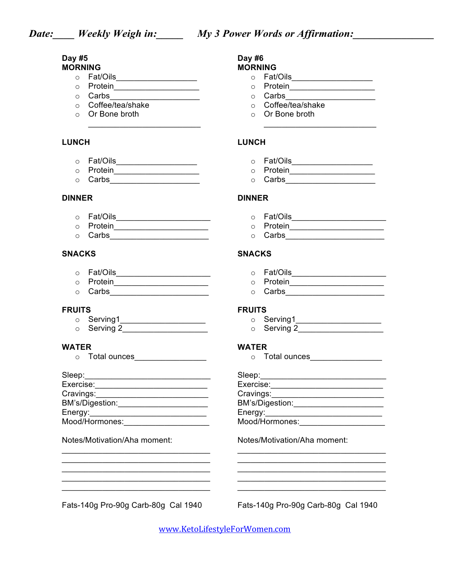### **Day #5 MORNING**

- o Fat/Oils\_\_\_\_\_\_\_\_\_\_\_\_\_\_\_\_\_\_
- o Protein\_\_\_\_\_\_\_\_\_\_\_\_\_\_\_\_\_\_\_
- o Carbs\_\_\_\_\_\_\_\_\_\_\_\_\_\_\_\_\_\_\_\_
- o Coffee/tea/shake
- o Or Bone broth  $\overline{\mathcal{L}}$  , and the set of the set of the set of the set of the set of the set of the set of the set of the set of the set of the set of the set of the set of the set of the set of the set of the set of the set of the s

## **LUNCH**

- o **Fat/Oils**\_\_\_\_\_\_\_\_\_\_\_\_\_\_\_\_\_\_\_\_
- o Protein\_\_\_\_\_\_\_\_\_\_\_\_\_\_\_\_\_\_\_
- o Carbs\_\_\_\_\_\_\_\_\_\_\_\_\_\_\_\_\_\_\_\_

## **DINNER**

- o Fat/Oils\_\_\_\_\_\_\_\_\_\_\_\_\_\_\_\_\_\_\_\_\_
- o Protein\_\_\_\_\_\_\_\_\_\_\_\_\_\_\_\_\_\_\_\_\_
- o Carbs\_\_\_\_\_\_\_\_\_\_\_\_\_\_\_\_\_\_\_\_\_\_

# **SNACKS**

- o Fat/Oils\_\_\_\_\_\_\_\_\_\_\_\_\_\_\_\_\_\_\_\_\_
- o Protein\_\_\_\_\_\_\_\_\_\_\_\_\_\_\_\_\_\_\_\_\_
- $\circ$  Carbs

## **FRUITS**

- o Serving1\_\_\_\_\_\_\_\_\_\_\_\_\_\_\_\_\_\_\_\_\_\_\_\_
- o Serving 2\_\_\_\_\_\_\_\_\_\_\_\_\_\_\_\_\_\_\_

# **WATER**

o Total ounces\_\_\_\_\_\_\_\_\_\_\_\_\_\_\_\_\_\_\_

| Sleep:          |  |
|-----------------|--|
| Exercise:       |  |
| Cravings:       |  |
| BM's/Digestion: |  |
| Energy:         |  |
| Mood/Hormones:  |  |

 $\overline{\mathcal{L}}$  , and the set of the set of the set of the set of the set of the set of the set of the set of the set of the set of the set of the set of the set of the set of the set of the set of the set of the set of the s  $\_$  $\overline{\mathcal{L}}$  , and the set of the set of the set of the set of the set of the set of the set of the set of the set of the set of the set of the set of the set of the set of the set of the set of the set of the set of the s  $\mathcal{L}_\text{max}$  and  $\mathcal{L}_\text{max}$  and  $\mathcal{L}_\text{max}$  and  $\mathcal{L}_\text{max}$  $\_$ 

## Notes/Motivation/Aha moment:

Fats-140g Pro-90g Carb-80g Cal 1940

Fats-140g Pro-90g Carb-80g Cal 1940

www.KetoLifestyleForWomen.com

#### **Day #6 MORNING**

- o Fat/Oils\_\_\_\_\_\_\_\_\_\_\_\_\_\_\_\_\_\_
- o Protein\_\_\_\_\_\_\_\_\_\_\_\_\_\_\_\_\_\_\_\_\_\_\_

 $\mathcal{L}_\text{max}$  , which is a set of the set of the set of the set of the set of the set of the set of the set of the set of the set of the set of the set of the set of the set of the set of the set of the set of the set of

- o Carbs\_\_\_\_\_\_\_\_\_\_\_\_\_\_\_\_\_\_\_\_
- o Coffee/tea/shake
- o Or Bone broth

# **LUNCH**

- o **Fat/Oils\_\_\_\_\_\_\_\_\_\_\_\_\_\_\_\_\_**\_\_\_
- $\circ$  Protein  $\overline{\phantom{a}}$ 
	- o Carbs\_\_\_\_\_\_\_\_\_\_\_\_\_\_\_\_\_\_\_\_

## **DINNER**

- o **Fat/Oils\_\_\_\_\_\_\_\_\_\_\_\_\_\_\_\_\_\_\_\_**\_\_\_\_
- o Protein\_\_\_\_\_\_\_\_\_\_\_\_\_\_\_\_\_\_\_\_\_\_\_\_\_
- o Carbs\_\_\_\_\_\_\_\_\_\_\_\_\_\_\_\_\_\_\_\_\_\_

## **SNACKS**

- o Fat/Oils\_\_\_\_\_\_\_\_\_\_\_\_\_\_\_\_\_\_\_\_\_
- o Protein\_\_\_\_\_\_\_\_\_\_\_\_\_\_\_\_\_\_\_\_\_
- o Carbs\_\_\_\_\_\_\_\_\_\_\_\_\_\_\_\_\_\_\_\_\_\_

### **FRUITS**

- o Serving1\_\_\_\_\_\_\_\_\_\_\_\_\_\_\_\_\_\_\_
	- o Serving 2\_\_\_\_\_\_\_\_\_\_\_\_\_\_\_\_\_\_\_

## **WATER**

o Total ounces\_\_\_\_\_\_\_\_\_\_\_\_\_\_\_\_\_\_

| Sleep:          |
|-----------------|
| Exercise:       |
| Cravings:       |
| BM's/Digestion: |
| Energy:         |
| Mood/Hormones:  |

 $\mathcal{L}_\mathcal{L}$  , which is a set of the set of the set of the set of the set of the set of the set of the set of the set of the set of the set of the set of the set of the set of the set of the set of the set of the set of

 $\mathcal{L}_\mathcal{L}$  , which is a set of the set of the set of the set of the set of the set of the set of the set of the set of the set of the set of the set of the set of the set of the set of the set of the set of the set of  $\mathcal{L}_\mathcal{L}$  , which is a set of the set of the set of the set of the set of the set of the set of the set of the set of the set of the set of the set of the set of the set of the set of the set of the set of the set of  $\overline{\phantom{a}}$  ,  $\overline{\phantom{a}}$  ,  $\overline{\phantom{a}}$  ,  $\overline{\phantom{a}}$  ,  $\overline{\phantom{a}}$  ,  $\overline{\phantom{a}}$  ,  $\overline{\phantom{a}}$  ,  $\overline{\phantom{a}}$  ,  $\overline{\phantom{a}}$  ,  $\overline{\phantom{a}}$  ,  $\overline{\phantom{a}}$  ,  $\overline{\phantom{a}}$  ,  $\overline{\phantom{a}}$  ,  $\overline{\phantom{a}}$  ,  $\overline{\phantom{a}}$  ,  $\overline{\phantom{a}}$ 

Notes/Motivation/Aha moment: